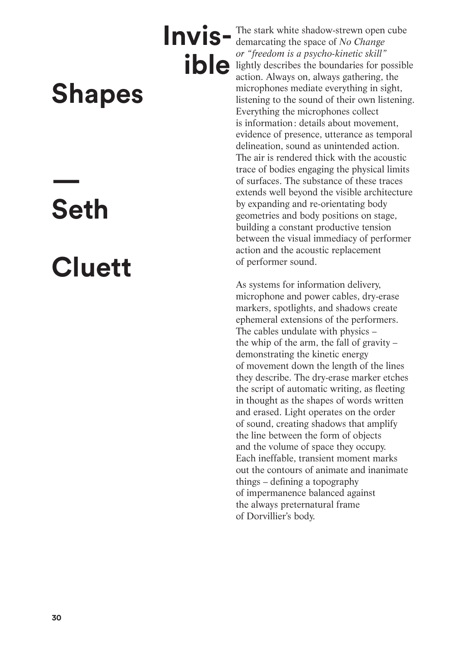## **Shapes**

## **Seth**

**—**

## **Cluett**

**Invis-** The stark white shadow-strewn open cube demarcating the space of *No Change* demarcating the space of *No Change or "freedom is a psycho-kinetic skill"* lightly describes the boundaries for possible action. Always on, always gathering, the microphones mediate everything in sight, listening to the sound of their own listening. Everything the microphones collect is information: details about movement, evidence of presence, utterance as temporal delineation, sound as unintended action. The air is rendered thick with the acoustic trace of bodies engaging the physical limits of surfaces. The substance of these traces extends well beyond the visible architecture by expanding and re-orientating body geometries and body positions on stage, building a constant productive tension between the visual immediacy of performer action and the acoustic replacement of performer sound. **ible** 

> As systems for information delivery, microphone and power cables, dry-erase markers, spotlights, and shadows create ephemeral extensions of the performers. The cables undulate with physics – the whip of the arm, the fall of gravity – demonstrating the kinetic energy of movement down the length of the lines they describe. The dry-erase marker etches the script of automatic writing, as fleeting in thought as the shapes of words written and erased. Light operates on the order of sound, creating shadows that amplify the line between the form of objects and the volume of space they occupy. Each ineffable, transient moment marks out the contours of animate and inanimate things – defining a topography of impermanence balanced against the always preternatural frame of Dorvillier's body.